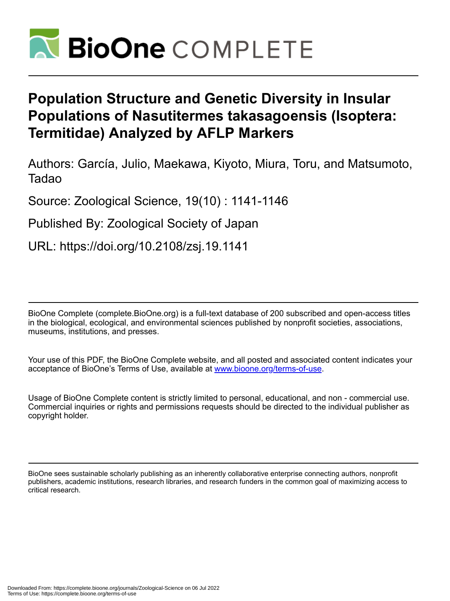

# **Population Structure and Genetic Diversity in Insular Populations of Nasutitermes takasagoensis (Isoptera: Termitidae) Analyzed by AFLP Markers**

Authors: García, Julio, Maekawa, Kiyoto, Miura, Toru, and Matsumoto, Tadao

Source: Zoological Science, 19(10) : 1141-1146

Published By: Zoological Society of Japan

URL: https://doi.org/10.2108/zsj.19.1141

BioOne Complete (complete.BioOne.org) is a full-text database of 200 subscribed and open-access titles in the biological, ecological, and environmental sciences published by nonprofit societies, associations, museums, institutions, and presses.

Your use of this PDF, the BioOne Complete website, and all posted and associated content indicates your acceptance of BioOne's Terms of Use, available at www.bioone.org/terms-of-use.

Usage of BioOne Complete content is strictly limited to personal, educational, and non - commercial use. Commercial inquiries or rights and permissions requests should be directed to the individual publisher as copyright holder.

BioOne sees sustainable scholarly publishing as an inherently collaborative enterprise connecting authors, nonprofit publishers, academic institutions, research libraries, and research funders in the common goal of maximizing access to critical research.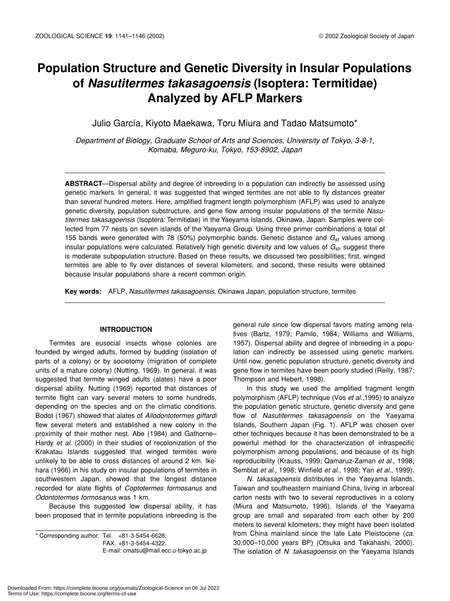# **Population Structure and Genetic Diversity in Insular Populations of** *Nasutitermes takasagoensis* **(Isoptera: Termitidae) Analyzed by AFLP Markers**

Julio García, Kiyoto Maekawa, Toru Miura and Tadao Matsumoto\*

*Department of Biology, Graduate School of Arts and Sciences, University of Tokyo, 3-8-1, Komaba, Meguro-ku, Tokyo, 153-8902, Japan*

**ABSTRACT**—Dispersal ability and degree of inbreeding in a population can indirectly be assessed using genetic markers. In general, it was suggested that winged termites are not able to fly distances greater than several hundred meters. Here, amplified fragment length polymorphism (AFLP) was used to analyze genetic diversity, population substructure, and gene flow among insular populations of the termite *Nasutitermes takasagoensis* (Isoptera: Termitidae) in the Yaeyama Islands, Okinawa, Japan. Samples were collected from 77 nests on seven islands of the Yaeyama Group. Using three primer combinations a total of 155 bands were generated with 78 (50%) polymorphic bands. Genetic distance and *Gst* values among insular populations were calculated. Relatively high genetic diversity and low values of *G<sub>st</sub>*, suggest there is moderate subpopulation structure. Based on these results, we discussed two possibilities; first, winged termites are able to fly over distances of several kilometers, and second, these results were obtained because insular populations share a recent common origin.

**Key words:** AFLP, *Nasutitermes takasagoensis*, Okinawa Japan, population structure, termites

# **INTRODUCTION**

Termites are eusocial insects whose colonies are founded by winged adults, formed by budding (isolation of parts of a colony) or by sociotomy (migration of complete units of a mature colony) (Nutting, 1969). In general, it was suggested that termite winged adults (alates) have a poor dispersal ability. Nutting (1969) reported that distances of termite flight can vary several meters to some hundreds, depending on the species and on the climatic conditions. Bodot (1967) showed that alates of *Allodontotermes giffardi* flew several meters and established a new colony in the proximity of their mother nest. Abe (1984) and Gathorne– Hardy *et al*. (2000) in their studies of recolonization of the Krakatau Islands suggested that winged termites were unlikely to be able to cross distances of around 2 km. Ikehara (1966) in his study on insular populations of termites in southwestern Japan, showed that the longest distance recorded for alate flights of *Coptotermes formosanus* and *Odontotermes formosanus* was 1 km.

Because this suggested low dispersal ability, it has been proposed that in termite populations inbreeding is the

 $*$  Corresponding author: Tel.  $+81-3-5454-6628$ ; FAX. +81-3-5454-4322. E-mail: cmatsu@mail.ecc.u-tokyo.ac.jp general rule since low dispersal favors mating among relatives (Bartz, 1979; Pamilo, 1984; Williams and Williams, 1957). Dispersal ability and degree of inbreeding in a population can indirectly be assessed using genetic markers. Until now, genetic population structure, genetic diversity and gene flow in termites have been poorly studied (Reilly, 1987; Thompson and Hebert, 1998).

In this study we used the amplified fragment length polymorphism (AFLP) technique (Vos *et al*.,1995) to analyze the population genetic structure, genetic diversity and gene flow of *Nasutitermes takasagoensis* on the Yaeyama Islands, Southern Japan (Fig. 1). AFLP was chosen over other techniques because it has been demonstrated to be a powerful method for the characterization of infraspecific polymorphism among populations, and because of its high reproducibility (Krauss, 1999; Qamaruz-Zaman *et al.,* 1998; Semblat *et al.,* 1998; Winfield *et al*., 1998; Yan *et al*., 1999).

*N. takasagoensis* distributes in the Yaeyama Islands, Taiwan and southeastern mainland China, living in arboreal carton nests with two to several reproductives in a colony (Miura and Matsumoto, 1996). Islands of the Yaeyama group are small and separated from each other by 200 meters to several kilometers; they might have been isolated from China mainland since the late Late Pleistocene (*ca*. 30,000–10,000 years BP) (Otsuka and Takahashi, 2000). The isolation of *N. takasagoensis* on the Yaeyama Islands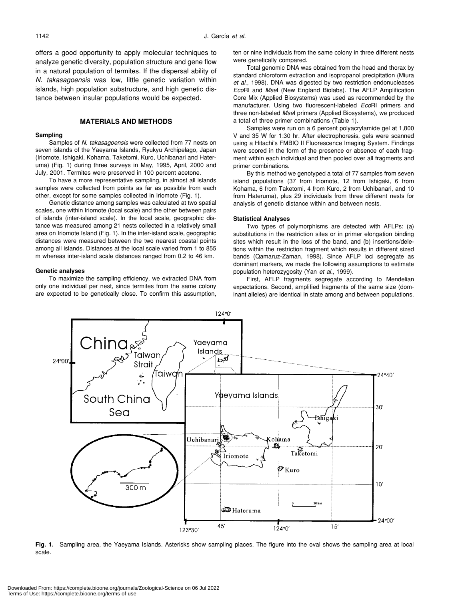offers a good opportunity to apply molecular techniques to analyze genetic diversity, population structure and gene flow in a natural population of termites. If the dispersal ability of *N. takasagoensis* was low, little genetic variation within islands, high population substructure, and high genetic distance between insular populations would be expected.

# **MATERIALS AND METHODS**

### **Sampling**

Samples of *N. takasagoensis* were collected from 77 nests on seven islands of the Yaeyama Islands, Ryukyu Archipelago, Japan (Iriomote, Ishigaki, Kohama, Taketomi, Kuro, Uchibanari and Hateruma) (Fig. 1) during three surveys in May, 1995, April, 2000 and July, 2001. Termites were preserved in 100 percent acetone.

To have a more representative sampling, in almost all islands samples were collected from points as far as possible from each other, except for some samples collected in Iriomote (Fig. 1).

Genetic distance among samples was calculated at two spatial scales, one within Iriomote (local scale) and the other between pairs of islands (inter-island scale). In the local scale, geographic distance was measured among 21 nests collected in a relatively small area on Iriomote Island (Fig. 1). In the inter-island scale, geographic distances were measured between the two nearest coastal points among all islands. Distances at the local scale varied from 1 to 855 m whereas inter-island scale distances ranged from 0.2 to 46 km.

#### **Genetic analyses**

To maximize the sampling efficiency, we extracted DNA from only one individual per nest, since termites from the same colony are expected to be genetically close. To confirm this assumption, ten or nine individuals from the same colony in three different nests were genetically compared.

Total genomic DNA was obtained from the head and thorax by standard chloroform extraction and isopropanol precipitation (Miura *et al*., 1998). DNA was digested by two restriction endonucleases *Eco*RI and *Mse*I (New England Biolabs). The AFLP Amplification Core Mix (Applied Biosystems) was used as recommended by the manufacturer. Using two fluorescent-labeled *Eco*RI primers and three non-labeled *Mse*I primers (Applied Biosystems), we produced a total of three primer combinations (Table 1).

Samples were run on a 6 percent polyacrylamide gel at 1,800 V and 35 W for 1:30 hr. After electrophoresis, gels were scanned using a Hitachi's FMBIO II Fluorescence Imaging System. Findings were scored in the form of the presence or absence of each fragment within each individual and then pooled over all fragments and primer combinations.

By this method we genotyped a total of 77 samples from seven island populations (37 from Iriomote, 12 from Ishigaki, 6 from Kohama, 6 from Taketomi, 4 from Kuro, 2 from Uchibanari, and 10 from Hateruma), plus 29 individuals from three different nests for analysis of genetic distance within and between nests.

#### **Statistical Analyses**

Two types of polymorphisms are detected with AFLPs: (a) substitutions in the restriction sites or in primer elongation binding sites which result in the loss of the band, and (b) insertions/deletions within the restriction fragment which results in different sized bands (Qamaruz-Zaman, 1998). Since AFLP loci segregate as dominant markers, we made the following assumptions to estimate population heterozygosity (Yan *et al*., 1999).

First, AFLP fragments segregate according to Mendelian expectations. Second, amplified fragments of the same size (dominant alleles) are identical in state among and between populations.



**Fig. 1.** Sampling area, the Yaeyama Islands. Asterisks show sampling places. The figure into the oval shows the sampling area at local scale.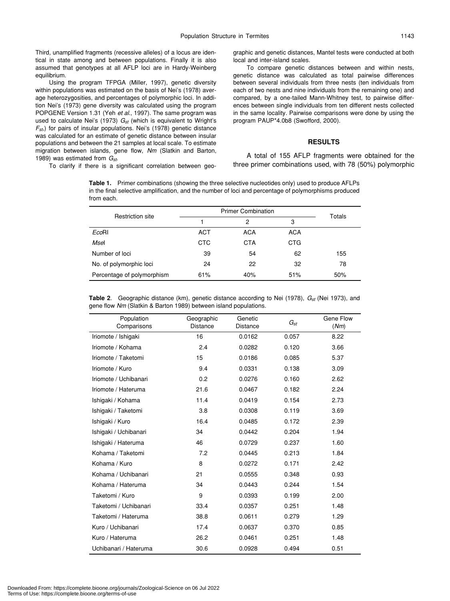Third, unamplified fragments (recessive alleles) of a locus are identical in state among and between populations. Finally it is also assumed that genotypes at all AFLP loci are in Hardy-Weinberg equilibrium.

Using the program TFPGA (Miller, 1997), genetic diversity within populations was estimated on the basis of Nei's (1978) average heterozygosities, and percentages of polymorphic loci. In addition Nei's (1973) gene diversity was calculated using the program POPGENE Version 1.31 (Yeh *et al*., 1997). The same program was used to calculate Nei's (1973)  $G_{st}$  (which is equivalent to Wright's *Fst*,) for pairs of insular populations. Nei's (1978) genetic distance was calculated for an estimate of genetic distance between insular populations and between the 21 samples at local scale. To estimate migration between islands, gene flow, *Nm* (Slatkin and Barton, 1989) was estimated from *Gst*.

To clarify if there is a significant correlation between geo-

graphic and genetic distances, Mantel tests were conducted at both local and inter-island scales.

To compare genetic distances between and within nests, genetic distance was calculated as total pairwise differences between several individuals from three nests (ten individuals from each of two nests and nine individuals from the remaining one) and compared, by a one-tailed Mann-Whitney test, to pairwise differences between single individuals from ten different nests collected in the same locality. Pairwise comparisons were done by using the program PAUP\*4.0b8 (Swofford, 2000).

# **RESULTS**

A total of 155 AFLP fragments were obtained for the three primer combinations used, with 78 (50%) polymorphic

**Table 1.** Primer combinations (showing the three selective nucleotides only) used to produce AFLPs in the final selective amplification, and the number of loci and percentage of polymorphisms produced from each.

| Restriction site           | <b>Primer Combination</b> |            |            | Totals |  |
|----------------------------|---------------------------|------------|------------|--------|--|
|                            |                           | 2          | 3          |        |  |
| EcoRI                      | <b>ACT</b>                | <b>ACA</b> | <b>ACA</b> |        |  |
| Msel                       | <b>CTC</b>                | <b>CTA</b> | <b>CTG</b> |        |  |
| Number of loci             | 39                        | 54         | 62         | 155    |  |
| No. of polymorphic loci    | 24                        | 22         | 32         | 78     |  |
| Percentage of polymorphism | 61%                       | 40%        | 51%        | 50%    |  |

|  | <b>Table 2.</b> Geographic distance (km), genetic distance according to Nei (1978), $G_{st}$ (Nei 1973), and |  |
|--|--------------------------------------------------------------------------------------------------------------|--|
|  | gene flow Nm (Slatkin & Barton 1989) between island populations.                                             |  |

| Population<br>Comparisons | Geographic<br>Distance | Genetic<br>Distance | $G_{\mathrm st}$ | Gene Flow<br>(Nm) |
|---------------------------|------------------------|---------------------|------------------|-------------------|
| Iriomote / Ishigaki       | 16                     | 0.0162              | 0.057            | 8.22              |
| Iriomote / Kohama         | 2.4                    | 0.0282              | 0.120            | 3.66              |
| Iriomote / Taketomi       | 15                     | 0.0186              | 0.085            | 5.37              |
| Iriomote / Kuro           | 9.4                    | 0.0331              | 0.138            | 3.09              |
| Iriomote / Uchibanari     | 0.2                    | 0.0276              | 0.160            | 2.62              |
| Iriomote / Hateruma       | 21.6                   | 0.0467              | 0.182            | 2.24              |
| Ishigaki / Kohama         | 11.4                   | 0.0419              | 0.154            | 2.73              |
| Ishigaki / Taketomi       | 3.8                    | 0.0308              | 0.119            | 3.69              |
| Ishigaki / Kuro           | 16.4                   | 0.0485              | 0.172            | 2.39              |
| Ishigaki / Uchibanari     | 34                     | 0.0442              | 0.204            | 1.94              |
| Ishigaki / Hateruma       | 46                     | 0.0729              | 0.237            | 1.60              |
| Kohama / Taketomi         | 7.2                    | 0.0445              | 0.213            | 1.84              |
| Kohama / Kuro             | 8                      | 0.0272              | 0.171            | 2.42              |
| Kohama / Uchibanari       | 21                     | 0.0555              | 0.348            | 0.93              |
| Kohama / Hateruma         | 34                     | 0.0443              | 0.244            | 1.54              |
| Taketomi / Kuro           | 9                      | 0.0393              | 0.199            | 2.00              |
| Taketomi / Uchibanari     | 33.4                   | 0.0357              | 0.251            | 1.48              |
| Taketomi / Hateruma       | 38.8                   | 0.0611              | 0.279            | 1.29              |
| Kuro / Uchibanari         | 17.4                   | 0.0637              | 0.370            | 0.85              |
| Kuro / Hateruma           | 26.2                   | 0.0461              | 0.251            | 1.48              |
| Uchibanari / Hateruma     | 30.6                   | 0.0928              | 0.494            | 0.51              |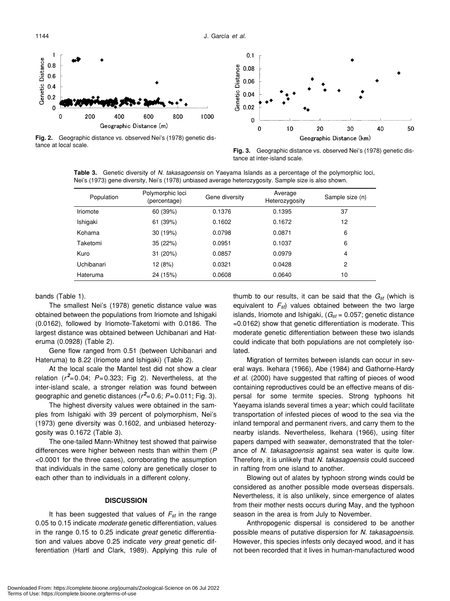Genetic Distance  $0.8$  $0.6$  $0.4$  $0.2$  $\Omega$ 200 800 1000  $\Omega$ 400 600 Geographic Distance (m)



**Fig. 2.** Geographic distance vs. observed Nei's (1978) genetic distance at local scale.

**Fig. 3.** Geographic distance vs. observed Nei's (1978) genetic distance at inter-island scale.

**Table 3.** Genetic diversity of *N. takasagoensis* on Yaeyama Islands as a percentage of the polymorphic loci, Nei's (1973) gene diversity, Nei's (1978) unbiased average heterozygosity. Sample size is also shown.

| Population | Polymorphic loci<br>(percentage) | Gene diversity | Average<br>Heterozygosity | Sample size (n) |
|------------|----------------------------------|----------------|---------------------------|-----------------|
| Iriomote   | 60 (39%)                         | 0.1376         | 0.1395                    | 37              |
| Ishigaki   | 61 (39%)                         | 0.1602         | 0.1672                    | 12              |
| Kohama     | 30 (19%)                         | 0.0798         | 0.0871                    | 6               |
| Taketomi   | 35 (22%)                         | 0.0951         | 0.1037                    | 6               |
| Kuro       | 31 (20%)                         | 0.0857         | 0.0979                    | $\overline{4}$  |
| Uchibanari | 12 (8%)                          | 0.0321         | 0.0428                    | 2               |
| Hateruma   | 24 (15%)                         | 0.0608         | 0.0640                    | 10              |

bands (Table 1).

The smallest Nei's (1978) genetic distance value was obtained between the populations from Iriomote and Ishigaki (0.0162), followed by Iriomote-Taketomi with 0.0186. The largest distance was obtained between Uchibanari and Hateruma (0.0928) (Table 2).

Gene flow ranged from 0.51 (between Uchibanari and Hateruma) to 8.22 (Iriomote and Ishigaki) (Table 2).

At the local scale the Mantel test did not show a clear relation  $(r^2=0.04; P=0.323;$  Fig 2). Nevertheless, at the inter-island scale, a stronger relation was found between geographic and genetic distances (*r 2* =0.6; *P*=0.011; Fig. 3).

The highest diversity values were obtained in the samples from Ishigaki with 39 percent of polymorphism, Nei's (1973) gene diversity was 0.1602, and unbiased heterozygosity was 0.1672 (Table 3).

The one-tailed Mann-Whitney test showed that pairwise differences were higher between nests than within them (*P* <0.0001 for the three cases), corroborating the assumption that individuals in the same colony are genetically closer to each other than to individuals in a different colony.

## **DISCUSSION**

It has been suggested that values of  $F_{st}$  in the range 0.05 to 0.15 indicate *moderate* genetic differentiation, values in the range 0.15 to 0.25 indicate *great* genetic differentiation and values above 0.25 indicate *very great* genetic differentiation (Hartl and Clark, 1989). Applying this rule of thumb to our results, it can be said that the  $G_{st}$  (which is equivalent to  $F_{st}$ ) values obtained between the two large islands, Iriomote and Ishigaki,  $(G_{st} = 0.057;$  genetic distance =0.0162) show that genetic differentiation is moderate. This moderate genetic differentiation between these two islands could indicate that both populations are not completely isolated.

Migration of termites between islands can occur in several ways. Ikehara (1966), Abe (1984) and Gathorne-Hardy *et al*. (2000) have suggested that rafting of pieces of wood containing reproductives could be an effective means of dispersal for some termite species. Strong typhoons hit Yaeyama islands several times a year; which could facilitate transportation of infested pieces of wood to the sea via the inland temporal and permanent rivers, and carry them to the nearby islands. Nevertheless, Ikehara (1966), using filter papers damped with seawater, demonstrated that the tolerance of *N. takasagoensis* against sea water is quite low. Therefore, it is unlikely that *N. takasagoensis* could succeed in rafting from one island to another.

Blowing out of alates by typhoon strong winds could be considered as another possible mode overseas dispersals. Nevertheless, it is also unlikely, since emergence of alates from their mother nests occurs during May, and the typhoon season in the area is from July to November.

Anthropogenic dispersal is considered to be another possible means of putative dispersion for *N. takasagoensis*. However, this species infests only decayed wood, and it has not been recorded that it lives in human-manufactured wood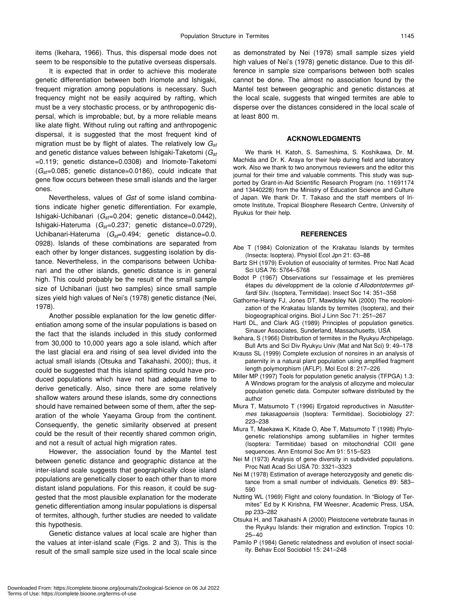items (Ikehara, 1966). Thus, this dispersal mode does not seem to be responsible to the putative overseas dispersals.

It is expected that in order to achieve this moderate genetic differentiation between both Iriomote and Ishigaki, frequent migration among populations is necessary. Such frequency might not be easily acquired by rafting, which must be a very stochastic process, or by anthropogenic dispersal, which is improbable; but, by a more reliable means like alate flight. Without ruling out rafting and anthropogenic dispersal, it is suggested that the most frequent kind of migration must be by flight of alates. The relatively low *Gst* and genetic distance values between Ishigaki-Taketomi (*Gst* =0.119; genetic distance=0.0308) and Iriomote-Taketomi (*Gst*=0.085; genetic distance=0.0186), could indicate that gene flow occurs between these small islands and the larger ones.

Nevertheless, values of *Gst* of some island combinations indicate higher genetic differentiation. For example, Ishigaki-Uchibanari (*Gst*=0.204; genetic distance=0.0442), Ishigaki-Hateruma (*Gst*=0.237; genetic distance=0.0729), Uchibanari-Hateruma (*Gst*=0.494; genetic distance=0.0. 0928). Islands of these combinations are separated from each other by longer distances, suggesting isolation by distance. Nevertheless, in the comparisons between Uchibanari and the other islands, genetic distance is in general high. This could probably be the result of the small sample size of Uchibanari (just two samples) since small sample sizes yield high values of Nei's (1978) genetic distance (Nei, 1978).

Another possible explanation for the low genetic differentiation among some of the insular populations is based on the fact that the islands included in this study conformed from 30,000 to 10,000 years ago a sole island, which after the last glacial era and rising of sea level divided into the actual small islands (Otsuka and Takahashi, 2000); thus, it could be suggested that this island splitting could have produced populations which have not had adequate time to derive genetically. Also, since there are some relatively shallow waters around these islands, some dry connections should have remained between some of them, after the separation of the whole Yaeyama Group from the continent. Consequently, the genetic similarity observed at present could be the result of their recently shared common origin, and not a result of actual high migration rates.

However, the association found by the Mantel test between genetic distance and geographic distance at the inter-island scale suggests that geographically close island populations are genetically closer to each other than to more distant island populations. For this reason, it could be suggested that the most plausible explanation for the moderate genetic differentiation among insular populations is dispersal of termites, although, further studies are needed to validate this hypothesis.

Genetic distance values at local scale are higher than the values at inter-island scale (Figs. 2 and 3). This is the result of the small sample size used in the local scale since as demonstrated by Nei (1978) small sample sizes yield high values of Nei's (1978) genetic distance. Due to this difference in sample size comparisons between both scales cannot be done. The almost no association found by the Mantel test between geographic and genetic distances at the local scale, suggests that winged termites are able to disperse over the distances considered in the local scale of at least 800 m.

# **ACKNOWLEDGMENTS**

We thank H. Katoh, S. Sameshima, S. Koshikawa, Dr. M. Machida and Dr. K. Araya for their help during field and laboratory work. Also we thank to two anonymous reviewers and the editor this journal for their time and valuable comments. This study was supported by Grant-in-Aid Scientific Research Program (no. 11691174 and 13440228) from the Ministry of Education Science and Culture of Japan. We thank Dr. T. Takaso and the staff members of Iriomote Institute, Tropical Biosphere Research Centre, University of Ryukus for their help.

#### **REFERENCES**

- Abe T (1984) Colonization of the Krakatau Islands by termites (Insecta: Isoptera). Physiol Ecol Jpn 21: 63–88
- Bartz SH (1979) Evolution of eusociality of termites. Proc Natl Acad Sci USA 76: 5764–5768
- Bodot P (1967) Observations sur l'essaimage et les premières étapes du développment de la colonie d'*Allodontotermes giffardi* Silv. (Isoptera, Termitidae). Insect Soc 14: 351–358
- Gathorne-Hardy FJ, Jones DT, Mawdsley NA (2000) The recolonization of the Krakatau Islands by termites (Isoptera), and their biogeographical origins. Biol J Linn Soc 71: 251–267
- Hartl DL, and Clark AG (1989) Principles of population genetics. Sinauer Associates, Sunderland, Massachusetts, USA
- Ikehara, S (1966) Distribution of termites in the Ryukyu Archipelago. Bull Arts and Sci Div Ryukyu Univ (Mat and Nat Sci) 9: 49–178
- Krauss SL (1999) Complete exclusion of nonsires in an analysis of paternity in a natural plant population using amplified fragment length polymorphism (AFLP). Mol Ecol 8: 217–226
- Miller MP (1997) Tools for population genetic analysis (TFPGA) 1.3: A Windows program for the analysis of allozyme and molecular population genetic data. Computer software distributed by the author
- Miura T, Matsumoto T (1996) Ergatoid reproductives in *Nasutitermes takasagoensis* (Isoptera: Termitidae). Sociobiology 27: 223–238
- Miura T, Maekawa K, Kitade O, Abe T, Matsumoto T (1998) Phylogenetic relationships among subfamilies in higher termites (Isoptera: Termitidae) based on mitochondrial COII gene sequences. Ann Entomol Soc Am 91: 515–523
- Nei M (1973) Analysis of gene diversity in subdivided populations. Proc Natl Acad Sci USA 70: 3321–3323
- Nei M (1978) Estimation of average heterozygosity and genetic distance from a small number of individuals. Genetics 89: 583– 590
- Nutting WL (1969) Flight and colony foundation. In "Biology of Termites" Ed by K Kirishna, FM Weesner, Academic Press, USA, pp 233–282
- Otsuka H, and Takahashi A (2000) Pleistocene vertebrate faunas in the Ryukyu Islands: their migration and extinction. Tropics 10: 25–40
- Pamilo P (1984) Genetic relatedness and evolution of insect sociality. Behav Ecol Sociobiol 15: 241–248